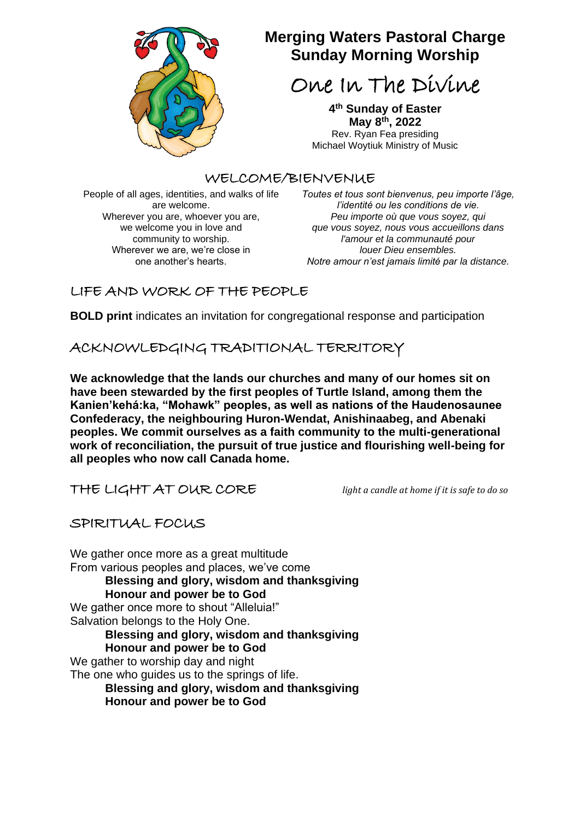

# **Merging Waters Pastoral Charge Sunday Morning Worship**

One In The Divine

**4 th Sunday of Easter May 8 th, 2022** Rev. Ryan Fea presiding Michael Woytiuk Ministry of Music

### WELCOME/BIENVENUE

People of all ages, identities, and walks of life are welcome. Wherever you are, whoever you are, we welcome you in love and community to worship. Wherever we are, we're close in one another's hearts.

*Toutes et tous sont bienvenus, peu importe l'âge, l'identité ou les conditions de vie. Peu importe où que vous soyez, qui que vous soyez, nous vous accueillons dans l'amour et la communauté pour louer Dieu ensembles. Notre amour n'est jamais limité par la distance.*

## LIFE AND WORK OF THE PEOPLE

**BOLD print** indicates an invitation for congregational response and participation

ACKNOWLEDGING TRADITIONAL TERRITORY

**We acknowledge that the lands our churches and many of our homes sit on have been stewarded by the first peoples of Turtle Island, among them the Kanien'kehá:ka, "Mohawk" peoples, as well as nations of the Haudenosaunee Confederacy, the neighbouring Huron-Wendat, Anishinaabeg, and Abenaki peoples. We commit ourselves as a faith community to the multi-generational work of reconciliation, the pursuit of true justice and flourishing well-being for all peoples who now call Canada home.**

THE LIGHT AT OUR CORE *light a candle at home if it is safe to do so*

## SPIRITUAL FOCUS

We gather once more as a great multitude From various peoples and places, we've come **Blessing and glory, wisdom and thanksgiving Honour and power be to God** We gather once more to shout "Alleluia!" Salvation belongs to the Holy One. **Blessing and glory, wisdom and thanksgiving Honour and power be to God** We gather to worship day and night The one who guides us to the springs of life. **Blessing and glory, wisdom and thanksgiving Honour and power be to God**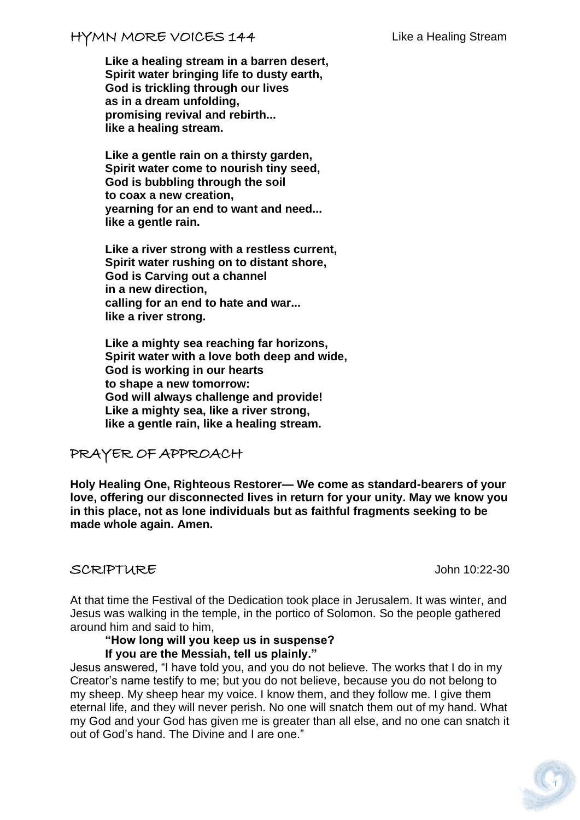**Like a healing stream in a barren desert, Spirit water bringing life to dusty earth, God is trickling through our lives as in a dream unfolding, promising revival and rebirth... like a healing stream.**

**Like a gentle rain on a thirsty garden, Spirit water come to nourish tiny seed, God is bubbling through the soil to coax a new creation, yearning for an end to want and need... like a gentle rain.**

**Like a river strong with a restless current, Spirit water rushing on to distant shore, God is Carving out a channel in a new direction, calling for an end to hate and war... like a river strong.**

**Like a mighty sea reaching far horizons, Spirit water with a love both deep and wide, God is working in our hearts to shape a new tomorrow: God will always challenge and provide! Like a mighty sea, like a river strong, like a gentle rain, like a healing stream.**

## PRAYER OF APPROACH

**Holy Healing One, Righteous Restorer— We come as standard-bearers of your love, offering our disconnected lives in return for your unity. May we know you in this place, not as lone individuals but as faithful fragments seeking to be made whole again. Amen.**

### SCRIPTURE John 10:22-30

At that time the Festival of the Dedication took place in Jerusalem. It was winter, and Jesus was walking in the temple, in the portico of Solomon. So the people gathered around him and said to him,

### **"How long will you keep us in suspense? If you are the Messiah, tell us plainly."**

Jesus answered, "I have told you, and you do not believe. The works that I do in my Creator's name testify to me; but you do not believe, because you do not belong to my sheep. My sheep hear my voice. I know them, and they follow me. I give them eternal life, and they will never perish. No one will snatch them out of my hand. What my God and your God has given me is greater than all else, and no one can snatch it out of God's hand. The Divine and I are one."

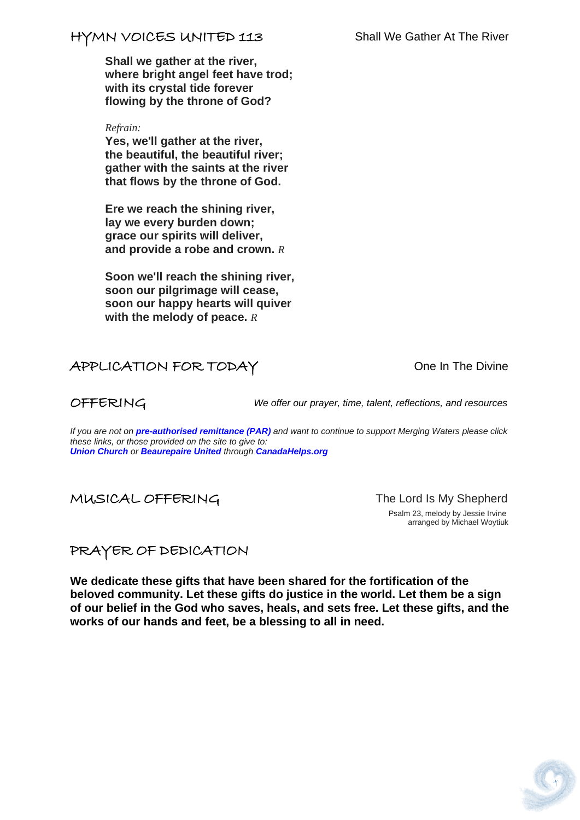## HYMN VOICES UNITED 113 Shall We Gather At The River

**Shall we gather at the river, where bright angel feet have trod; with its crystal tide forever flowing by the throne of God?**

*Refrain:*

**Yes, we'll gather at the river, the beautiful, the beautiful river; gather with the saints at the river that flows by the throne of God.**

**Ere we reach the shining river, lay we every burden down; grace our spirits will deliver, and provide a robe and crown.** *R*

**Soon we'll reach the shining river, soon our pilgrimage will cease, soon our happy hearts will quiver with the melody of peace.** *R*

# APPLICATION FOR TODAY CONSUMING THE Divine

OFFERING *We offer our prayer, time, talent, reflections, and resources*

*If you are not on pre-authorised [remittance \(PAR\)](http://mergingwaters.ca/mt-content/uploads/2020/03/form_par-authorization.pdf) and want to continue to support Merging Waters please click these links, or those provided on the site to give to: [Union Church](https://www.canadahelps.org/en/charities/union-church-ste-anne-de-bellevue/) or [Beaurepaire United](https://www.canadahelps.org/en/charities/beaurepaire-united-church/) through [CanadaHelps.org](http://www.canadahelps.org/)*

MUSICAL OFFERING The Lord Is My Shepherd

 Psalm 23, melody by Jessie Irvine arranged by Michael Woytiuk

PRAYER OF DEDICATION

**We dedicate these gifts that have been shared for the fortification of the beloved community. Let these gifts do justice in the world. Let them be a sign of our belief in the God who saves, heals, and sets free. Let these gifts, and the works of our hands and feet, be a blessing to all in need.**

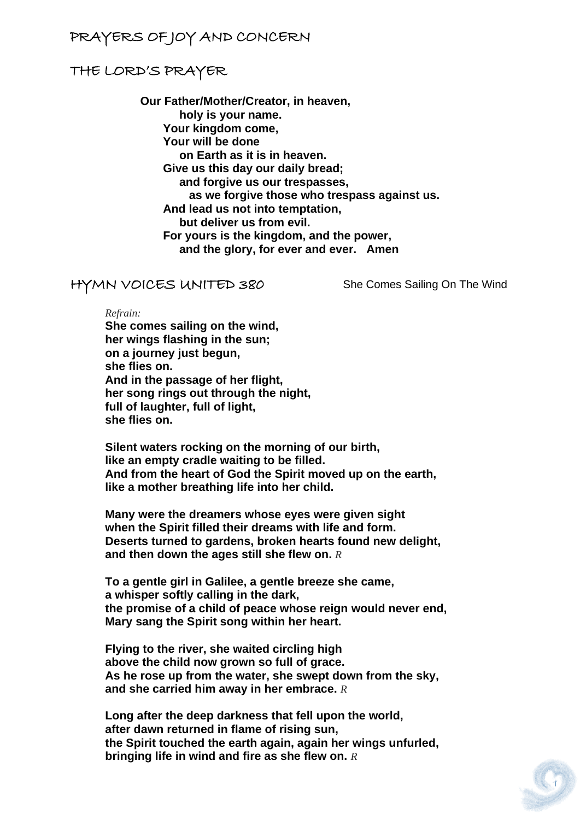## PRAYERS OF JOY AND CONCERN

### THE LORD'S PRAYER

**Our Father/Mother/Creator, in heaven, holy is your name. Your kingdom come, Your will be done on Earth as it is in heaven. Give us this day our daily bread; and forgive us our trespasses, as we forgive those who trespass against us. And lead us not into temptation, but deliver us from evil. For yours is the kingdom, and the power, and the glory, for ever and ever. Amen**

### HYMN VOICES UNITED 380 She Comes Sailing On The Wind

*Refrain:*

**She comes sailing on the wind, her wings flashing in the sun; on a journey just begun, she flies on. And in the passage of her flight, her song rings out through the night, full of laughter, full of light, she flies on.**

**Silent waters rocking on the morning of our birth, like an empty cradle waiting to be filled. And from the heart of God the Spirit moved up on the earth, like a mother breathing life into her child.**

**Many were the dreamers whose eyes were given sight when the Spirit filled their dreams with life and form. Deserts turned to gardens, broken hearts found new delight, and then down the ages still she flew on.** *R*

**To a gentle girl in Galilee, a gentle breeze she came, a whisper softly calling in the dark, the promise of a child of peace whose reign would never end, Mary sang the Spirit song within her heart.**

**Flying to the river, she waited circling high above the child now grown so full of grace. As he rose up from the water, she swept down from the sky, and she carried him away in her embrace.** *R*

**Long after the deep darkness that fell upon the world, after dawn returned in flame of rising sun, the Spirit touched the earth again, again her wings unfurled, bringing life in wind and fire as she flew on.** *R*

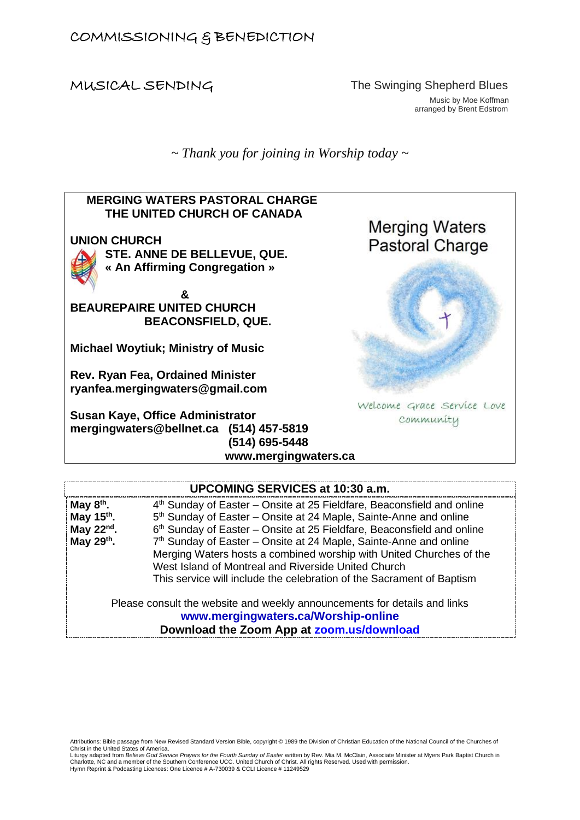MUSICAL SENDINGThe Swinging Shepherd Blues Music by Moe Koffman arranged by Brent Edstrom

*~ Thank you for joining in Worship today ~*



### **UPCOMING SERVICES at 10:30 a.m.**

| May $8th$ .            | 4 <sup>th</sup> Sunday of Easter – Onsite at 25 Fieldfare, Beaconsfield and online |
|------------------------|------------------------------------------------------------------------------------|
|                        |                                                                                    |
| May 15 <sup>th</sup> . | 5 <sup>th</sup> Sunday of Easter – Onsite at 24 Maple, Sainte-Anne and online      |
| May $22^{nd}$ .        | 6th Sunday of Easter - Onsite at 25 Fieldfare, Beaconsfield and online             |
| May 29th.              | 7 <sup>th</sup> Sunday of Easter – Onsite at 24 Maple, Sainte-Anne and online      |
|                        | Merging Waters hosts a combined worship with United Churches of the                |
|                        | West Island of Montreal and Riverside United Church                                |
|                        | This service will include the celebration of the Sacrament of Baptism              |
|                        |                                                                                    |
|                        | Please consult the website and weekly announcements for details and links          |

**[www.mergingwaters.ca/Worship-online](http://www.mergingwaters.ca/Worship-online)**

**Download the Zoom App at [zoom.us/download](file:///C:/Users/Merging%20Waters%20Rev/Downloads/past%20services/Sept%2020th%202020/zoom.us/download)**

Attributions: Bible passage from New Revised Standard Version Bible, copyright © 1989 the Division of Christian Education of the National Council of the Churches of Christ in the United States of America.

Liturgy adapted from *Believe God Service Prayers for the Fourth Sunday of Easter* written by Rev. Mia M. McClain, Associate Minister at Myers Park Baptist Church in Charlotte, NC and a member of the Southern Conference UCC. United Church of Christ. All rights Reserved. Used with permission. Hymn Reprint & Podcasting Licences: One Licence # A-730039 & CCLI Licence # 11249529